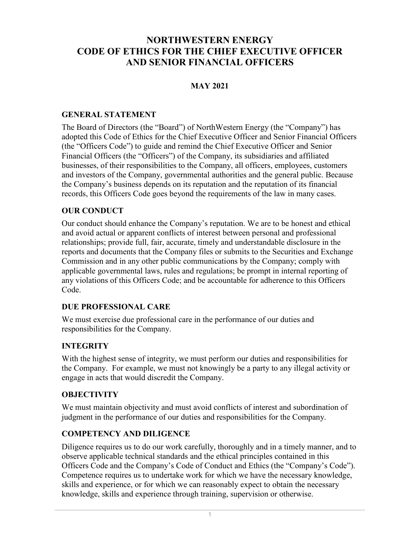# **NORTHWESTERN ENERGY CODE OF ETHICS FOR THE CHIEF EXECUTIVE OFFICER AND SENIOR FINANCIAL OFFICERS**

### **MAY 2021**

### **GENERAL STATEMENT**

The Board of Directors (the "Board") of NorthWestern Energy (the "Company") has adopted this Code of Ethics for the Chief Executive Officer and Senior Financial Officers (the "Officers Code") to guide and remind the Chief Executive Officer and Senior Financial Officers (the "Officers") of the Company, its subsidiaries and affiliated businesses, of their responsibilities to the Company, all officers, employees, customers and investors of the Company, governmental authorities and the general public. Because the Company's business depends on its reputation and the reputation of its financial records, this Officers Code goes beyond the requirements of the law in many cases.

### **OUR CONDUCT**

Our conduct should enhance the Company's reputation. We are to be honest and ethical and avoid actual or apparent conflicts of interest between personal and professional relationships; provide full, fair, accurate, timely and understandable disclosure in the reports and documents that the Company files or submits to the Securities and Exchange Commission and in any other public communications by the Company; comply with applicable governmental laws, rules and regulations; be prompt in internal reporting of any violations of this Officers Code; and be accountable for adherence to this Officers Code.

### **DUE PROFESSIONAL CARE**

We must exercise due professional care in the performance of our duties and responsibilities for the Company.

## **INTEGRITY**

With the highest sense of integrity, we must perform our duties and responsibilities for the Company. For example, we must not knowingly be a party to any illegal activity or engage in acts that would discredit the Company.

### **OBJECTIVITY**

We must maintain objectivity and must avoid conflicts of interest and subordination of judgment in the performance of our duties and responsibilities for the Company.

## **COMPETENCY AND DILIGENCE**

Diligence requires us to do our work carefully, thoroughly and in a timely manner, and to observe applicable technical standards and the ethical principles contained in this Officers Code and the Company's Code of Conduct and Ethics (the "Company's Code"). Competence requires us to undertake work for which we have the necessary knowledge, skills and experience, or for which we can reasonably expect to obtain the necessary knowledge, skills and experience through training, supervision or otherwise.

1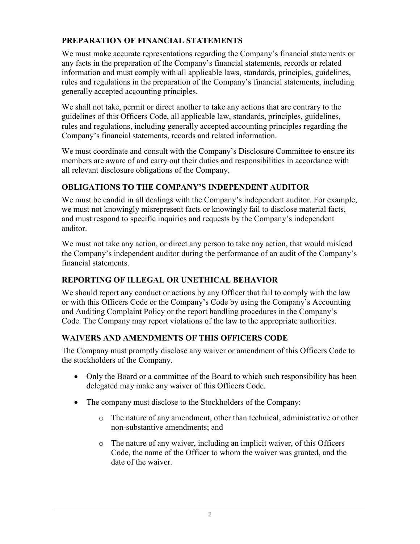## **PREPARATION OF FINANCIAL STATEMENTS**

We must make accurate representations regarding the Company's financial statements or any facts in the preparation of the Company's financial statements, records or related information and must comply with all applicable laws, standards, principles, guidelines, rules and regulations in the preparation of the Company's financial statements, including generally accepted accounting principles.

We shall not take, permit or direct another to take any actions that are contrary to the guidelines of this Officers Code, all applicable law, standards, principles, guidelines, rules and regulations, including generally accepted accounting principles regarding the Company's financial statements, records and related information.

We must coordinate and consult with the Company's Disclosure Committee to ensure its members are aware of and carry out their duties and responsibilities in accordance with all relevant disclosure obligations of the Company.

## **OBLIGATIONS TO THE COMPANY'S INDEPENDENT AUDITOR**

We must be candid in all dealings with the Company's independent auditor. For example, we must not knowingly misrepresent facts or knowingly fail to disclose material facts, and must respond to specific inquiries and requests by the Company's independent auditor.

We must not take any action, or direct any person to take any action, that would mislead the Company's independent auditor during the performance of an audit of the Company's financial statements.

## **REPORTING OF ILLEGAL OR UNETHICAL BEHAVIOR**

We should report any conduct or actions by any Officer that fail to comply with the law or with this Officers Code or the Company's Code by using the Company's Accounting and Auditing Complaint Policy or the report handling procedures in the Company's Code. The Company may report violations of the law to the appropriate authorities.

## **WAIVERS AND AMENDMENTS OF THIS OFFICERS CODE**

The Company must promptly disclose any waiver or amendment of this Officers Code to the stockholders of the Company.

- Only the Board or a committee of the Board to which such responsibility has been delegated may make any waiver of this Officers Code.
- The company must disclose to the Stockholders of the Company:
	- o The nature of any amendment, other than technical, administrative or other non-substantive amendments; and
	- o The nature of any waiver, including an implicit waiver, of this Officers Code, the name of the Officer to whom the waiver was granted, and the date of the waiver.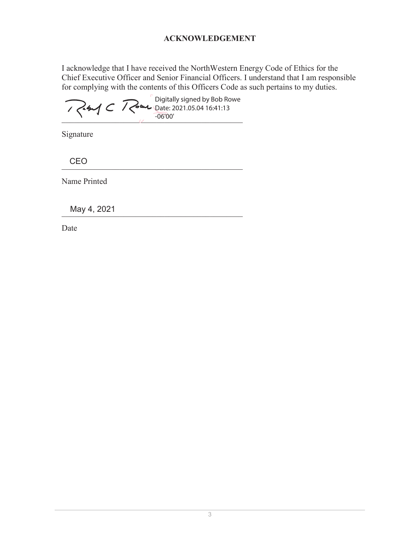### **ACKNOWLEDGEMENT**

I acknowledge that I have received the NorthWestern Energy Code of Ethics for the Chief Executive Officer and Senior Financial Officers. I understand that I am responsible for complying with the contents of this Officers Code as such pertains to my duties.

 $\sim$   $-06'00'$ Digitally signed by Bob Rowe Date: 2021.05.04 16:41:13 -06'00'

Signature

\_\_\_\_\_\_\_\_\_\_\_\_\_\_\_\_\_\_\_\_\_\_\_\_\_\_\_\_\_\_\_\_\_\_\_\_\_\_\_\_\_\_\_\_ **CEO** 

Name Printed

May 4, 2021

Date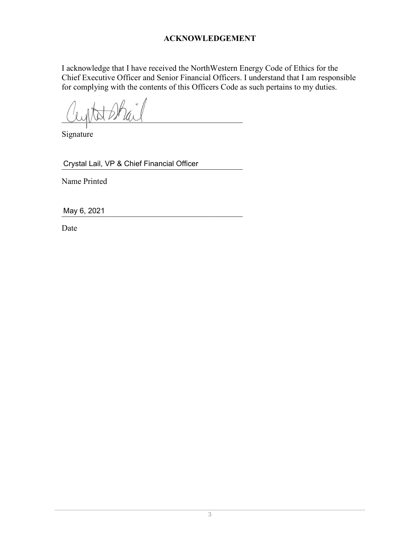### **ACKNOWLEDGEMENT**

I acknowledge that I have received the NorthWestern Energy Code of Ethics for the Chief Executive Officer and Senior Financial Officers. I understand that I am responsible for complying with the contents of this Officers Code as such pertains to my duties.

 $UUUV$   $VVWW$   $VVWW$ 

Signature

\_\_\_\_\_\_\_\_\_\_\_\_\_\_\_\_\_\_\_\_\_\_\_\_\_\_\_\_\_\_\_\_\_\_\_\_\_\_\_\_\_\_\_\_ Crystal Lail, VP & Chief Financial Officer

Name Printed

\_\_\_\_\_\_\_\_\_\_\_\_\_\_\_\_\_\_\_\_\_\_\_\_\_\_\_\_\_\_\_\_\_\_\_\_\_\_\_\_\_\_\_\_ May 6, 2021

Date